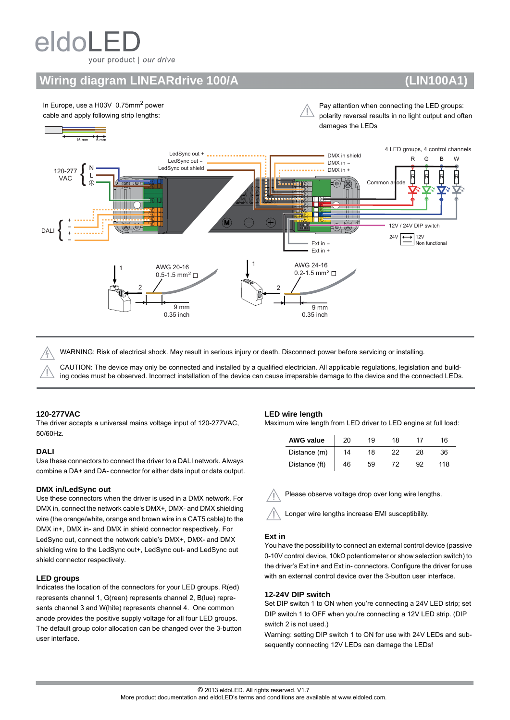# eldol your product | our drive

## **Wiring diagram LINEARdrive 100/A (LIN100A1)**



WARNING: Risk of electrical shock. May result in serious injury or death. Disconnect power before servicing or installing.

CAUTION: The device may only be connected and installed by a qualified electrician. All applicable regulations, legislation and building codes must be observed. Incorrect installation of the device can cause irreparable damage to the device and the connected LEDs.

#### **120-277VAC**

The driver accepts a universal mains voltage input of 120-277VAC, 50/60Hz.

#### **DALI**

Use these connectors to connect the driver to a DALI network. Always combine a DA+ and DA- connector for either data input or data output.

#### **DMX in/LedSync out**

Use these connectors when the driver is used in a DMX network. For DMX in, connect the network cable's DMX+, DMX- and DMX shielding wire (the orange/white, orange and brown wire in a CAT5 cable) to the DMX in+, DMX in- and DMX in shield connector respectively. For LedSync out, connect the network cable's DMX+, DMX- and DMX shielding wire to the LedSync out+, LedSync out- and LedSync out shield connector respectively.

#### **LED groups**

Indicates the location of the connectors for your LED groups. R(ed) represents channel 1, G(reen) represents channel 2, B(lue) represents channel 3 and W(hite) represents channel 4. One common anode provides the positive supply voltage for all four LED groups. The default group color allocation can be changed over the 3-button user interface.

#### **LED wire length**

Maximum wire length from LED driver to LED engine at full load:

| <b>AWG value</b> | 20 | 19 | 18 |    | 16 |
|------------------|----|----|----|----|----|
| Distance (m)     | 14 |    | 22 | 28 |    |
| Distance (ft)    | 46 | 59 |    | a2 | 18 |

Please observe voltage drop over long wire lengths.

Longer wire lengths increase EMI susceptibility.

#### **Ext in**

You have the possibility to connect an external control device (passive 0-10V control device, 10kΩ potentiometer or show selection switch) to the driver's Ext in+ and Ext in- connectors. Configure the driver for use with an external control device over the 3-button user interface.

#### **12-24V DIP switch**

Set DIP switch 1 to ON when you're connecting a 24V LED strip; set DIP switch 1 to OFF when you're connecting a 12V LED strip. (DIP switch 2 is not used.)

Warning: setting DIP switch 1 to ON for use with 24V LEDs and subsequently connecting 12V LEDs can damage the LEDs!